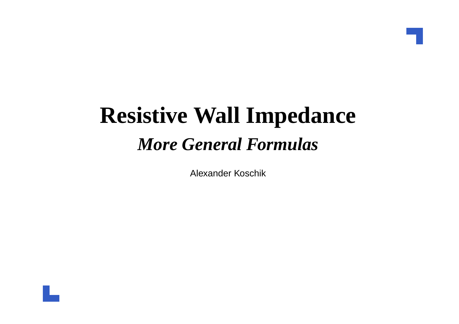# **Resistive Wall Impedance***More General Formulas*

Alexander Koschik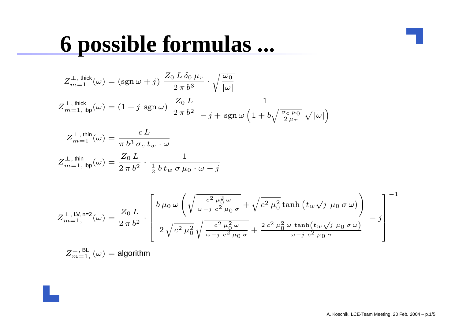#### **6 possible formulas ...**

$$
Z_{m=1}^{\perp,\text{ thick}}(\omega) = (\text{sgn }\omega + j) \frac{Z_0 L \delta_0 \mu_r}{2 \pi b^3} \cdot \sqrt{\frac{\omega_0}{|\omega|}}
$$
  

$$
Z_{m=1,\text{ ibp}}^{\perp,\text{ thick}}(\omega) = (1 + j \text{ sgn }\omega) \frac{Z_0 L}{2 \pi b^2} \frac{1}{-j + \text{ sgn }\omega \left(1 + b\sqrt{\frac{\sigma_c \mu_0}{2 \mu_r}} \sqrt{|\omega|}\right)}
$$

$$
Z_{m=1}^{\perp, \text{ thin}}(\omega) = \frac{c L}{\pi b^3 \sigma_c t_w \cdot \omega}
$$

$$
Z_{m=1, \text{ ibp}}^{\perp, \text{ thin}}(\omega) = \frac{Z_0 L}{2 \pi b^2} \cdot \frac{1}{\frac{1}{2} b t_w \sigma \mu_0 \cdot \omega - j}
$$

$$
Z_{m=1,}^{\perp,\text{ LV},\text{ n=2}}(\omega) = \frac{Z_0 L}{2\,\pi\,b^2} \cdot \left[\frac{b\,\mu_0\,\omega\left(\sqrt{\frac{c^2\,\mu_0^2\,\omega}{\omega - j\,\,c^2\,\mu_0\,\sigma}} + \sqrt{c^2\,\mu_0^2\,\text{tanh}\left(t_w\sqrt{j\,\mu_0\,\sigma\,\omega}\right)}\right]}{2\,\sqrt{c^2\,\mu_0^2\,\sqrt{\frac{c^2\,\mu_0^2\,\omega}{\omega - j\,\,c^2\,\mu_0\,\sigma}} + \frac{2\,c^2\,\mu_0^2\,\omega\,\tanh(t_w\sqrt{j\,\mu_0\,\sigma\,\omega})}{\omega - j\,\,c^2\,\mu_0\,\sigma}} - j\right]^{-1}
$$

$$
Z_{m=1,}^{\perp, \, \text{BL}}(\omega) = \text{algorithm}
$$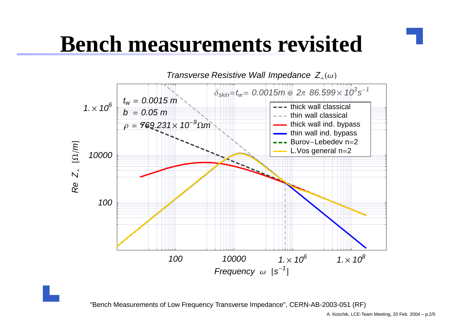# **Bench measurements revisited**



"Bench Measurements of Low Frequency Transverse Impedance", CERN-AB-2003-051 (RF)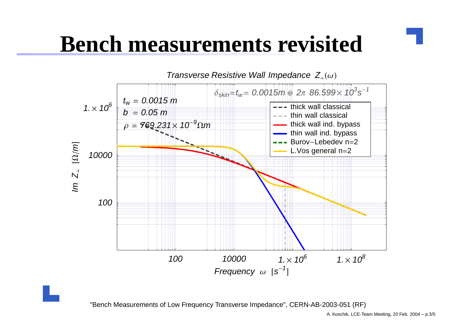# **Bench measurements revisited**



"Bench Measurements of Low Frequency Transverse Impedance", CERN-AB-2003-051 (RF)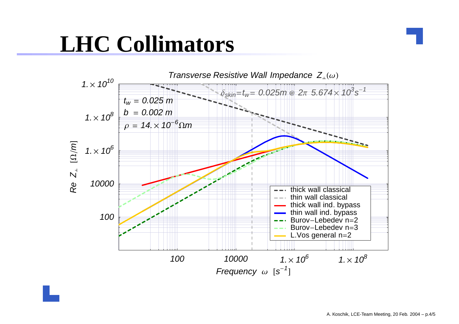# **LHC Collimators**